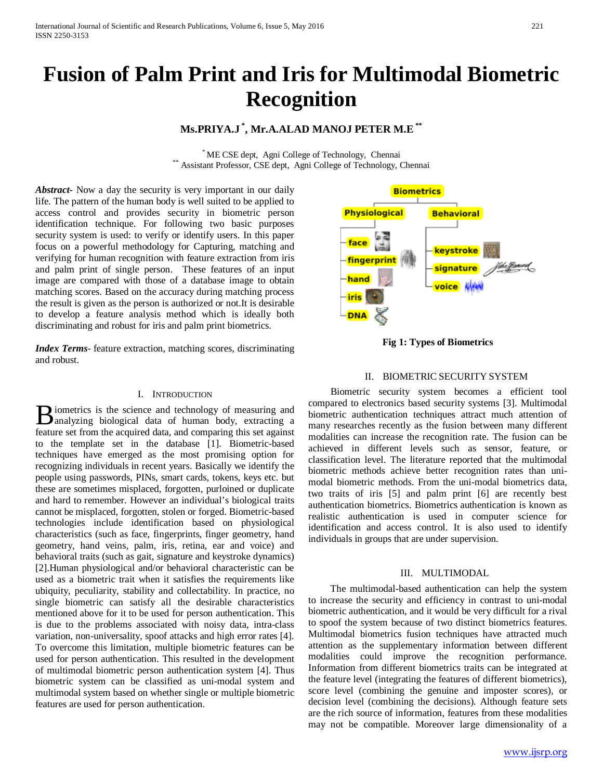# **Fusion of Palm Print and Iris for Multimodal Biometric Recognition**

## **Ms.PRIYA.J \* , Mr.A.ALAD MANOJ PETER M.E\*\***

\* ME CSE dept, Agni College of Technology, Chennai \*\* Assistant Professor, CSE dept, Agni College of Technology, Chennai

*Abstract***-** Now a day the security is very important in our daily life. The pattern of the human body is well suited to be applied to access control and provides security in biometric person identification technique. For following two basic purposes security system is used: to verify or identify users. In this paper focus on a powerful methodology for Capturing, matching and verifying for human recognition with feature extraction from iris and palm print of single person. These features of an input image are compared with those of a database image to obtain matching scores. Based on the accuracy during matching process the result is given as the person is authorized or not.It is desirable to develop a feature analysis method which is ideally both discriminating and robust for iris and palm print biometrics.

*Index Terms*- feature extraction, matching scores, discriminating and robust.

#### I. INTRODUCTION

iometrics is the science and technology of measuring and **B** iometrics is the science and technology of measuring and analyzing biological data of human body, extracting a feature set from the acquired data, and comparing this set against to the template set in the database [1]. Biometric-based techniques have emerged as the most promising option for recognizing individuals in recent years. Basically we identify the people using passwords, PINs, smart cards, tokens, keys etc. but these are sometimes misplaced, forgotten, purloined or duplicate and hard to remember. However an individual's biological traits cannot be misplaced, forgotten, stolen or forged. Biometric-based technologies include identification based on physiological characteristics (such as face, fingerprints, finger geometry, hand geometry, hand veins, palm, iris, retina, ear and voice) and behavioral traits (such as gait, signature and keystroke dynamics) [2].Human physiological and/or behavioral characteristic can be used as a biometric trait when it satisfies the requirements like ubiquity, peculiarity, stability and collectability. In practice, no single biometric can satisfy all the desirable characteristics mentioned above for it to be used for person authentication. This is due to the problems associated with noisy data, intra-class variation, non-universality, spoof attacks and high error rates [4]. To overcome this limitation, multiple biometric features can be used for person authentication. This resulted in the development of multimodal biometric person authentication system [4]. Thus biometric system can be classified as uni-modal system and multimodal system based on whether single or multiple biometric features are used for person authentication.



**Fig 1: Types of Biometrics**

## II. BIOMETRIC SECURITY SYSTEM

 Biometric security system becomes a efficient tool compared to electronics based security systems [3]. Multimodal biometric authentication techniques attract much attention of many researches recently as the fusion between many different modalities can increase the recognition rate. The fusion can be achieved in different levels such as sensor, feature, or classification level. The literature reported that the multimodal biometric methods achieve better recognition rates than unimodal biometric methods. From the uni-modal biometrics data, two traits of iris [5] and palm print [6] are recently best authentication biometrics. Biometrics authentication is known as realistic authentication is used in computer science for identification and access control. It is also used to identify individuals in groups that are under supervision.

## III. MULTIMODAL

 The multimodal-based authentication can help the system to increase the security and efficiency in contrast to uni-modal biometric authentication, and it would be very difficult for a rival to spoof the system because of two distinct biometrics features. Multimodal biometrics fusion techniques have attracted much attention as the supplementary information between different modalities could improve the recognition performance. Information from different biometrics traits can be integrated at the feature level (integrating the features of different biometrics), score level (combining the genuine and imposter scores), or decision level (combining the decisions). Although feature sets are the rich source of information, features from these modalities may not be compatible. Moreover large dimensionality of a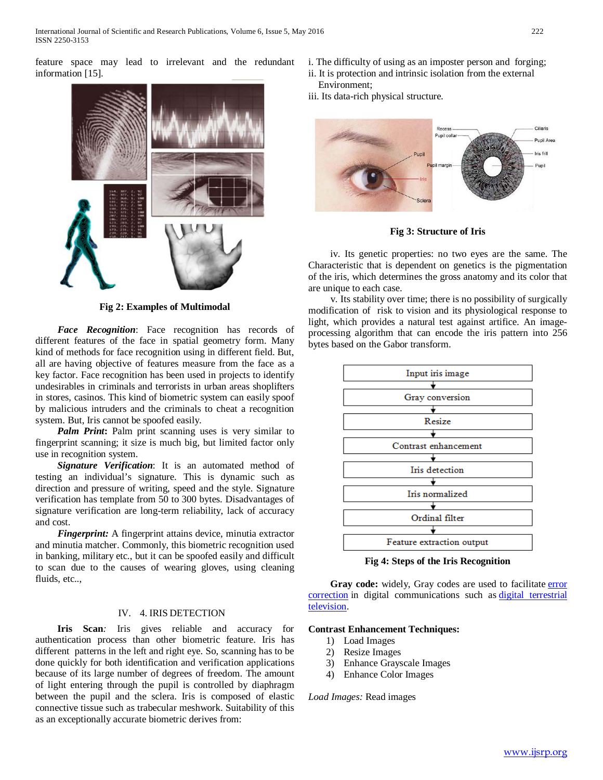feature space may lead to irrelevant and the redundant information [15].



**Fig 2: Examples of Multimodal**

 *Face Recognition*: Face recognition has records of different features of the face in spatial geometry form. Many kind of methods for face recognition using in different field. But, all are having objective of features measure from the face as a key factor. Face recognition has been used in projects to identify undesirables in criminals and terrorists in urban areas shoplifters in stores, casinos. This kind of biometric system can easily spoof by malicious intruders and the criminals to cheat a recognition system. But, Iris cannot be spoofed easily.

*Palm Print*: Palm print scanning uses is very similar to fingerprint scanning; it size is much big, but limited factor only use in recognition system.

 *Signature Verification*: It is an automated method of testing an individual's signature. This is dynamic such as direction and pressure of writing, speed and the style. Signature verification has template from 50 to 300 bytes. Disadvantages of signature verification are long-term reliability, lack of accuracy and cost.

 *Fingerprint:* A fingerprint attains device, minutia extractor and minutia matcher. Commonly, this biometric recognition used in banking, military etc., but it can be spoofed easily and difficult to scan due to the causes of wearing gloves, using cleaning fluids, etc..,

## IV. 4. IRIS DETECTION

 **Iris Scan***:* Iris gives reliable and accuracy for authentication process than other biometric feature. Iris has different patterns in the left and right eye. So, scanning has to be done quickly for both identification and verification applications because of its large number of degrees of freedom. The amount of light entering through the pupil is controlled by diaphragm between the pupil and the sclera. Iris is composed of elastic connective tissue such as trabecular meshwork. Suitability of this as an exceptionally accurate biometric derives from:

- i. The difficulty of using as an imposter person and forging;
- ii. It is protection and intrinsic isolation from the external Environment;
- iii. Its data-rich physical structure.



**Fig 3: Structure of Iris**

 iv. Its genetic properties: no two eyes are the same. The Characteristic that is dependent on genetics is the pigmentation of the iris, which determines the gross anatomy and its color that are unique to each case.

 v. Its stability over time; there is no possibility of surgically modification of risk to vision and its physiological response to light, which provides a natural test against artifice. An imageprocessing algorithm that can encode the iris pattern into 256 bytes based on the Gabor transform.



**Fig 4: Steps of the Iris Recognition**

Gray code: widely, Gray codes are used to facilitate error [correction](https://en.wikipedia.org/wiki/Error_correction) in digital communications such as [digital terrestrial](https://en.wikipedia.org/wiki/Digital_terrestrial_television)  [television.](https://en.wikipedia.org/wiki/Digital_terrestrial_television)

## **Contrast Enhancement Techniques:**

- 1) Load Images
- 2) Resize Images
- 3) Enhance Grayscale Images
- 4) Enhance Color Images

*Load Images:* Read images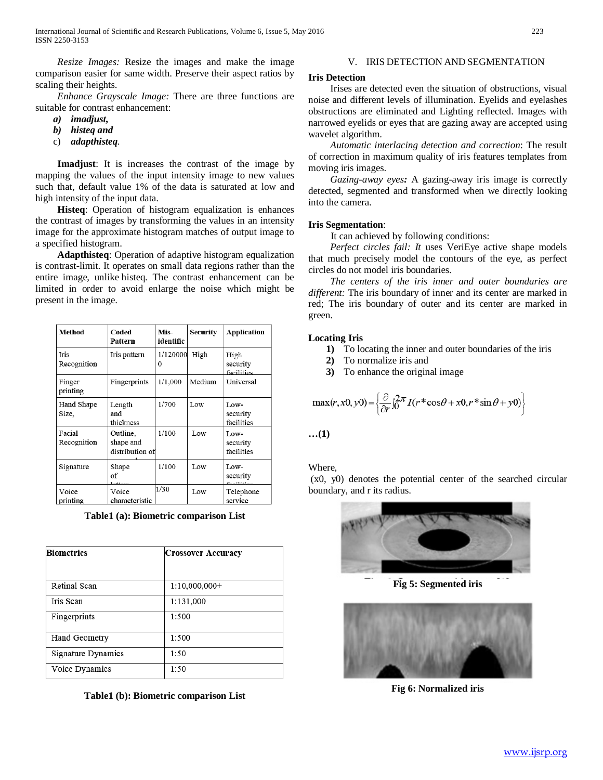*Resize Images:* Resize the images and make the image comparison easier for same width. Preserve their aspect ratios by scaling their heights.

 *Enhance Grayscale Image:* There are three functions are suitable for contrast enhancement:

- *a) imadjust,*
- *b) histeq and*
- c) *adapthisteq*.

 **Imadjust**: It is increases the contrast of the image by mapping the values of the input intensity image to new values such that, default value 1% of the data is saturated at low and high intensity of the input data.

 **Histeq**: Operation of histogram equalization is enhances the contrast of images by transforming the values in an intensity image for the approximate histogram matches of output image to a specified histogram.

 **Adapthisteq**: Operation of adaptive histogram equalization is contrast-limit. It operates on small data regions rather than the entire image, unlike histeq. The contrast enhancement can be limited in order to avoid enlarge the noise which might be present in the image.

| Method                     | Coded<br>Pattern                         | Mis-<br>identific    | Security | Application                    |
|----------------------------|------------------------------------------|----------------------|----------|--------------------------------|
| <b>Iris</b><br>Recognition | Iris pattern                             | 1/120000<br>$\Omega$ | High     | High<br>security<br>facilities |
| Finger<br>printing         | Fingerprints                             | 1/1,000              | Medium   | Universal                      |
| Hand Shape<br>Size.        | Length<br>and<br>thickness               | 1/700                | Low      | Low-<br>security<br>facilities |
| Facial<br>Recognition      | Outline.<br>shape and<br>distribution of | 1/100                | Low      | Low-<br>security<br>facilities |
| Signature                  | Shape<br>of                              | 1/100                | Low      | Low-<br>security<br>بمنازلتهمة |
| Voice<br>printing          | Voice<br>characteristic                  | 1/30                 | Low      | Telephone<br>service           |

**Table1 (a): Biometric comparison List**

| <b>Biometrics</b>         | <b>Crossover Accuracy</b> |  |  |
|---------------------------|---------------------------|--|--|
| Retinal Scan              | $1:10,000,000+$           |  |  |
| Iris Scan                 | 1:131,000                 |  |  |
| Fingerprints              | 1:500                     |  |  |
| Hand Geometry             | 1:500                     |  |  |
| <b>Signature Dynamics</b> | 1:50                      |  |  |
| Voice Dynamics            | 1:50                      |  |  |

**Table1 (b): Biometric comparison List**

## V. IRIS DETECTION AND SEGMENTATION

#### **Iris Detection**

 Irises are detected even the situation of obstructions, visual noise and different levels of illumination. Eyelids and eyelashes obstructions are eliminated and Lighting reflected. Images with narrowed eyelids or eyes that are gazing away are accepted using wavelet algorithm.

 *Automatic interlacing detection and correction*: The result of correction in maximum quality of iris features templates from moving iris images.

 *Gazing-away eyes:* A gazing-away iris image is correctly detected, segmented and transformed when we directly looking into the camera.

#### **Iris Segmentation**:

It can achieved by following conditions:

 *Perfect circles fail: It* uses VeriEye active shape models that much precisely model the contours of the eye, as perfect circles do not model iris boundaries.

 *The centers of the iris inner and outer boundaries are different:* The iris boundary of inner and its center are marked in red; The iris boundary of outer and its center are marked in green.

## **Locating Iris**

- **1)** To locating the inner and outer boundaries of the iris
- **2)** To normalize iris and
- **3)** To enhance the original image

$$
\max(r, x0, y0) = \left\{\frac{\partial}{\partial r} \int_0^{2\pi} I(r^* \cos \theta + x0, r^* \sin \theta + y0)\right\}
$$

**…(1)**

Where,

(x0, y0) denotes the potential center of the searched circular boundary, and r its radius.



**Fig 5: Segmented iris**



**Fig 6: Normalized iris**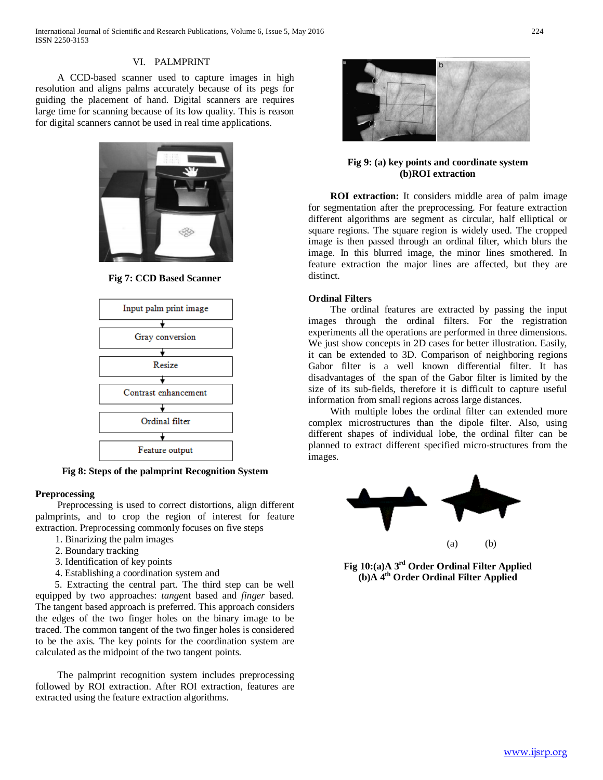## VI. PALMPRINT

 A CCD-based scanner used to capture images in high resolution and aligns palms accurately because of its pegs for guiding the placement of hand. Digital scanners are requires large time for scanning because of its low quality. This is reason for digital scanners cannot be used in real time applications.



**Fig 7: CCD Based Scanner**



**Fig 8: Steps of the palmprint Recognition System**

## **Preprocessing**

 Preprocessing is used to correct distortions, align different palmprints, and to crop the region of interest for feature extraction. Preprocessing commonly focuses on five steps

- 1. Binarizing the palm images
- 2. Boundary tracking
- 3. Identification of key points
- 4. Establishing a coordination system and

 5. Extracting the central part. The third step can be well equipped by two approaches: *tange*nt based and *finger* based. The tangent based approach is preferred. This approach considers the edges of the two finger holes on the binary image to be traced. The common tangent of the two finger holes is considered to be the axis. The key points for the coordination system are calculated as the midpoint of the two tangent points.

 The palmprint recognition system includes preprocessing followed by ROI extraction. After ROI extraction, features are extracted using the feature extraction algorithms.



## **Fig 9: (a) key points and coordinate system (b)ROI extraction**

 **ROI extraction:** It considers middle area of palm image for segmentation after the preprocessing. For feature extraction different algorithms are segment as circular, half elliptical or square regions. The square region is widely used. The cropped image is then passed through an ordinal filter, which blurs the image. In this blurred image, the minor lines smothered. In feature extraction the major lines are affected, but they are distinct.

## **Ordinal Filters**

 The ordinal features are extracted by passing the input images through the ordinal filters. For the registration experiments all the operations are performed in three dimensions. We just show concepts in 2D cases for better illustration. Easily, it can be extended to 3D. Comparison of neighboring regions Gabor filter is a well known differential filter. It has disadvantages of the span of the Gabor filter is limited by the size of its sub-fields, therefore it is difficult to capture useful information from small regions across large distances.

 With multiple lobes the ordinal filter can extended more complex microstructures than the dipole filter. Also, using different shapes of individual lobe, the ordinal filter can be planned to extract different specified micro-structures from the images.



**Fig 10:(a)A 3rd Order Ordinal Filter Applied (b)A 4th Order Ordinal Filter Applied**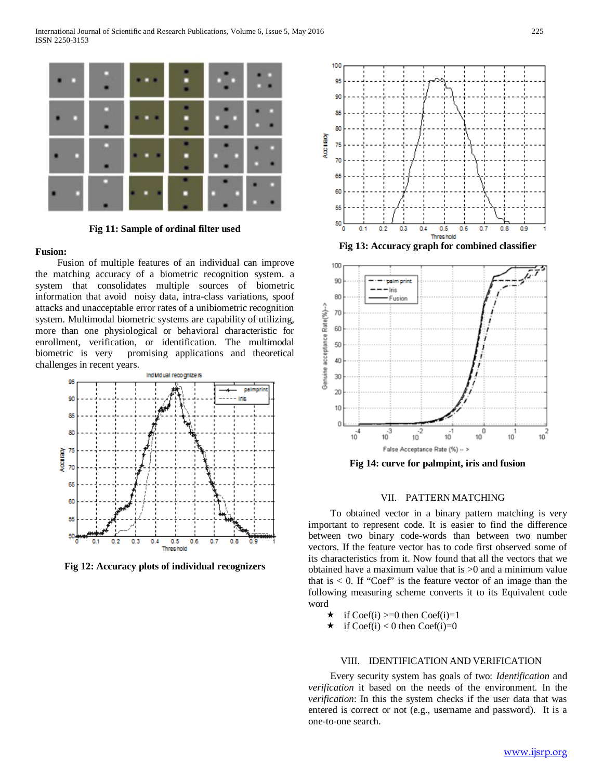

**Fig 11: Sample of ordinal filter used**

#### **Fusion:**

 Fusion of multiple features of an individual can improve the matching accuracy of a biometric recognition system. a system that consolidates multiple sources of biometric information that avoid noisy data, intra-class variations, spoof attacks and unacceptable error rates of a unibiometric recognition system. Multimodal biometric systems are capability of utilizing, more than one physiological or behavioral characteristic for enrollment, verification, or identification. The multimodal biometric is very promising applications and theoretical challenges in recent years.



**Fig 12: Accuracy plots of individual recognizers**



**Fig 13: Accuracy graph for combined classifier**



**Fig 14: curve for palmpint, iris and fusion**

## VII. PATTERN MATCHING

 To obtained vector in a binary pattern matching is very important to represent code. It is easier to find the difference between two binary code-words than between two number vectors. If the feature vector has to code first observed some of its characteristics from it. Now found that all the vectors that we obtained have a maximum value that is >0 and a minimum value that is  $< 0$ . If "Coef" is the feature vector of an image than the following measuring scheme converts it to its Equivalent code word

- $\star$  if Coef(i) >=0 then Coef(i)=1
- $\star$  if Coef(i) < 0 then Coef(i)=0

## VIII. IDENTIFICATION AND VERIFICATION

 Every security system has goals of two: *Identification* and *verification* it based on the needs of the environment. In the *verification*: In this the system checks if the user data that was entered is correct or not (e.g., username and password). It is a one-to-one search*.*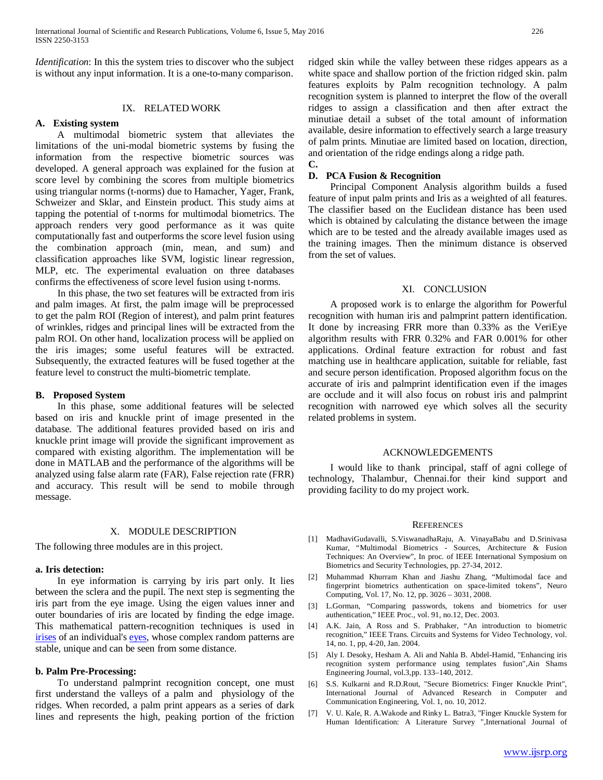*Identification*: In this the system tries to discover who the subject is without any input information. It is a one-to-many comparison.

## IX. RELATED WORK

#### **A. Existing system**

 A multimodal biometric system that alleviates the limitations of the uni-modal biometric systems by fusing the information from the respective biometric sources was developed. A general approach was explained for the fusion at score level by combining the scores from multiple biometrics using triangular norms (t-norms) due to Hamacher, Yager, Frank, Schweizer and Sklar, and Einstein product. This study aims at tapping the potential of t-norms for multimodal biometrics. The approach renders very good performance as it was quite computationally fast and outperforms the score level fusion using the combination approach (min, mean, and sum) and classification approaches like SVM, logistic linear regression, MLP, etc. The experimental evaluation on three databases confirms the effectiveness of score level fusion using t-norms.

 In this phase, the two set features will be extracted from iris and palm images. At first, the palm image will be preprocessed to get the palm ROI (Region of interest), and palm print features of wrinkles, ridges and principal lines will be extracted from the palm ROI. On other hand, localization process will be applied on the iris images; some useful features will be extracted. Subsequently, the extracted features will be fused together at the feature level to construct the multi-biometric template.

#### **B. Proposed System**

 In this phase, some additional features will be selected based on iris and knuckle print of image presented in the database. The additional features provided based on iris and knuckle print image will provide the significant improvement as compared with existing algorithm. The implementation will be done in MATLAB and the performance of the algorithms will be analyzed using false alarm rate (FAR), False rejection rate (FRR) and accuracy. This result will be send to mobile through message.

#### X. MODULE DESCRIPTION

The following three modules are in this project.

#### **a. Iris detection:**

 In eye information is carrying by iris part only. It lies between the sclera and the pupil. The next step is segmenting the iris part from the eye image. Using the eigen values inner and outer boundaries of iris are located by finding the edge image. This mathematical pattern-recognition techniques is used in [irises](https://en.wikipedia.org/wiki/Iris_(anatomy)) of an individual's [eyes,](https://en.wikipedia.org/wiki/Human_eye) whose complex random patterns are stable, unique and can be seen from some distance.

#### **b. Palm Pre-Processing:**

 To understand palmprint recognition concept, one must first understand the valleys of a palm and physiology of the ridges. When recorded, a palm print appears as a series of dark lines and represents the high, peaking portion of the friction ridged skin while the valley between these ridges appears as a white space and shallow portion of the friction ridged skin. palm features exploits by Palm recognition technology. A palm recognition system is planned to interpret the flow of the overall ridges to assign a classification and then after extract the minutiae detail a subset of the total amount of information available, desire information to effectively search a large treasury of palm prints. Minutiae are limited based on location, direction, and orientation of the ridge endings along a ridge path. **C.**

## **D. PCA Fusion & Recognition**

 Principal Component Analysis algorithm builds a fused feature of input palm prints and Iris as a weighted of all features. The classifier based on the Euclidean distance has been used which is obtained by calculating the distance between the image which are to be tested and the already available images used as the training images. Then the minimum distance is observed from the set of values.

#### XI. CONCLUSION

 A proposed work is to enlarge the algorithm for Powerful recognition with human iris and palmprint pattern identification. It done by increasing FRR more than 0.33% as the VeriEye algorithm results with FRR 0.32% and FAR 0.001% for other applications. Ordinal feature extraction for robust and fast matching use in healthcare application, suitable for reliable, fast and secure person identification. Proposed algorithm focus on the accurate of iris and palmprint identification even if the images are occlude and it will also focus on robust iris and palmprint recognition with narrowed eye which solves all the security related problems in system.

#### ACKNOWLEDGEMENTS

 I would like to thank principal, staff of agni college of technology, Thalambur, Chennai.for their kind support and providing facility to do my project work.

#### **REFERENCES**

- [1] MadhaviGudavalli, S.ViswanadhaRaju, A. VinayaBabu and D.Srinivasa Kumar, "Multimodal Biometrics - Sources, Architecture & Fusion Techniques: An Overview", In proc. of IEEE International Symposium on Biometrics and Security Technologies, pp. 27-34, 2012.
- [2] Muhammad Khurram Khan and Jiashu Zhang, "Multimodal face and fingerprint biometrics authentication on space-limited tokens", Neuro Computing, Vol. 17, No. 12, pp. 3026 – 3031, 2008.
- [3] L.Gorman, "Comparing passwords, tokens and biometrics for user authentication," IEEE Proc., vol. 91, no.12, Dec. 2003.
- [4] A.K. Jain, A Ross and S. Prabhaker, "An introduction to biometric recognition," IEEE Trans. Circuits and Systems for Video Technology, vol. 14, no. 1, pp, 4-20, Jan. 2004.
- [5] Aly I. Desoky, Hesham A. Ali and Nahla B. Abdel-Hamid, "Enhancing iris recognition system performance using templates fusion",Ain Shams Engineering Journal, vol.3,pp. 133–140, 2012.
- [6] S.S. Kulkarni and R.D.Rout, "Secure Biometrics: Finger Knuckle Print", International Journal of Advanced Research in Computer and Communication Engineering, Vol. 1, no. 10, 2012.
- [7] V. U. Kale, R. A.Wakode and Rinky L. Batra3, "Finger Knuckle System for Human Identification: A Literature Survey ",International Journal of